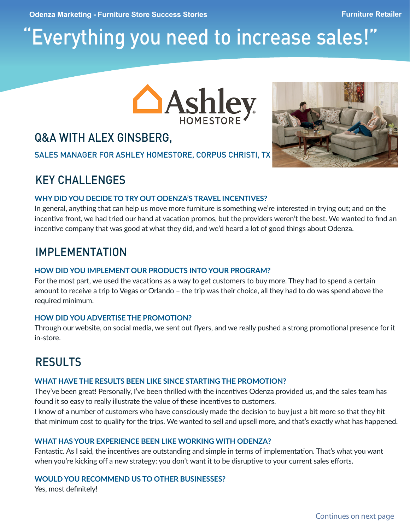# "Everything you need to increase sales!"



## Q&A WITH ALEX GINSBERG,

SALES MANAGER FOR ASHLEY HOMESTORE, CORPUS CHRISTI, TX

## KEY CHALLENGES

### **WHY DID YOU DECIDE TO TRY OUT ODENZA'S TRAVEL INCENTIVES?**

In general, anything that can help us move more furniture is something we're interested in trying out; and on the incentive front, we had tried our hand at vacation promos, but the providers weren't the best. We wanted to find an incentive company that was good at what they did, and we'd heard a lot of good things about Odenza.

### IMPLEMENTATION

### **HOW DID YOU IMPLEMENT OUR PRODUCTS INTO YOUR PROGRAM?**

For the most part, we used the vacations as a way to get customers to buy more. They had to spend a certain amount to receive a trip to Vegas or Orlando – the trip was their choice, all they had to do was spend above the required minimum.

### **HOW DID YOU ADVERTISE THE PROMOTION?**

Through our website, on social media, we sent out flyers, and we really pushed a strong promotional presence for it in-store.

# RESULTS

### **WHAT HAVE THE RESULTS BEEN LIKE SINCE STARTING THE PROMOTION?**

They've been great! Personally, I've been thrilled with the incentives Odenza provided us, and the sales team has found it so easy to really illustrate the value of these incentives to customers.

I know of a number of customers who have consciously made the decision to buy just a bit more so that they hit that minimum cost to qualify for the trips. We wanted to sell and upsell more, and that's exactly what has happened.

### **WHAT HAS YOUR EXPERIENCE BEEN LIKE WORKING WITH ODENZA?**

Fantastic. As I said, the incentives are outstanding and simple in terms of implementation. That's what you want when you're kicking off a new strategy: you don't want it to be disruptive to your current sales efforts.

#### **WOULD YOU RECOMMEND US TO OTHER BUSINESSES?**

Yes, most definitely!